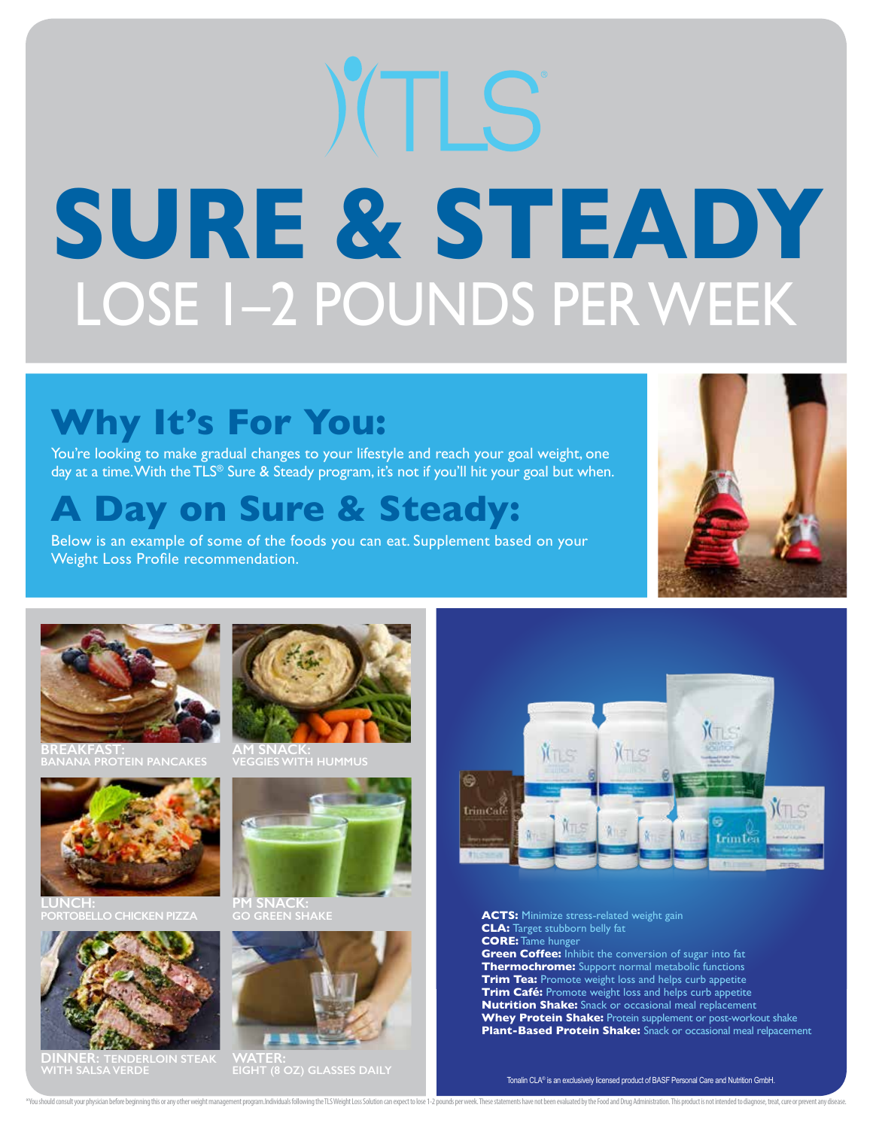# **SURE & STEADY** LOSE 1–2 POUNDS PER WEEK

## **Why It's For You:**

You're looking to make gradual changes to your lifestyle and reach your goal weight, one day at a time. With the TLS® Sure & Steady program, it's not if you'll hit your goal but when.

### **A Day on Sure & Steady:**

Below is an example of some of the foods you can eat. Supplement based on your Weight Loss Profile recommendation.





**BREAKFAST: BANANA PROTEIN PANCAKES**



**LUNCH: PORTOBELLO CHICKEN PIZZA**



**DINNER: TENDERLOIN STEAK WITH SALSA VERDE**



**AM SNACK: VEGGIES WITH HUMMUS**



**GO GREEN SHAKE**



**WATER: EIGHT (8 OZ) GLASSES DAILY**



**ACTS:** Minimize stress-related weight gain **CLA:** Target stubborn belly fat **CORE:** Tame hunger **Green Coffee:** Inhibit the conversion of sugar into fat **Thermochrome:** Support normal metabolic functions **Trim Tea:** Promote weight loss and helps curb appetite **Trim Café:** Promote weight loss and helps curb appetite **Nutrition Shake:** Snack or occasional meal replacement **Whey Protein Shake:** Protein supplement or post-workout shake **Plant-Based Protein Shake:** Snack or occasional meal relpacement

"You should consult your physician before beginning this or any other weight management program.Individuals following the TLS Weight Loss Solution can expect to lose 1-2 pounds per week. These statements have not been eval